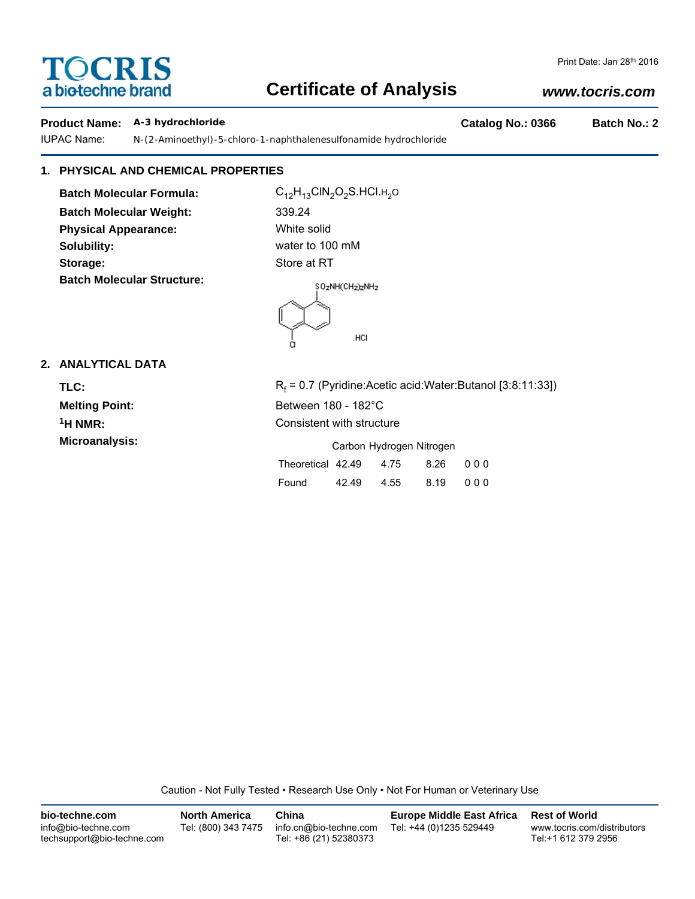# **TOCRIS** a biotechne brand

# **Certificate of Analysis**

## Print Date: Jan 28th 2016

## *www.tocris.com*

## **Product Name: A-3 hydrochloride Catalog No.: 0366 Batch No.: 2**

IUPAC Name: *N*-(2-Aminoethyl)-5-chloro-1-naphthalenesulfonamide hydrochloride

## **1. PHYSICAL AND CHEMICAL PROPERTIES**

**Batch Molecular Formula:** C<sub>12</sub>H<sub>13</sub>ClN<sub>2</sub>O<sub>2</sub>S.HCl.H<sub>2</sub>O **Batch Molecular Weight:** 339.24 **Physical Appearance:** White solid **Solubility:** water to 100 mM **Storage:** Store at RT **Batch Molecular Structure:**



## **2. ANALYTICAL DATA**

TLC: R<sub>f</sub>

 $R_f$  = 0.7 (Pyridine:Acetic acid:Water:Butanol [3:8:11:33]) **Melting Point:** Between 180 - 182°C <sup>1</sup>H NMR: Consistent with structure **Microanalysis:** Carbon Hydrogen Nitrogen

| Carbon Hydrogen Nitrogen |       |      |      |     |  |  |
|--------------------------|-------|------|------|-----|--|--|
| Theoretical 42.49        |       | 4.75 | 8.26 | 000 |  |  |
| Found                    | 42.49 | 4.55 | 8.19 | 000 |  |  |

Caution - Not Fully Tested • Research Use Only • Not For Human or Veterinary Use

| bio-techne.com                                    | <b>North America</b> | China                                            | <b>Europe Middle East Africa</b> | <b>Rest of World</b>                               |
|---------------------------------------------------|----------------------|--------------------------------------------------|----------------------------------|----------------------------------------------------|
| info@bio-techne.com<br>techsupport@bio-techne.com | Tel: (800) 343 7475  | info.cn@bio-techne.com<br>Tel: +86 (21) 52380373 | Tel: +44 (0)1235 529449          | www.tocris.com/distributors<br>Tel:+1 612 379 2956 |